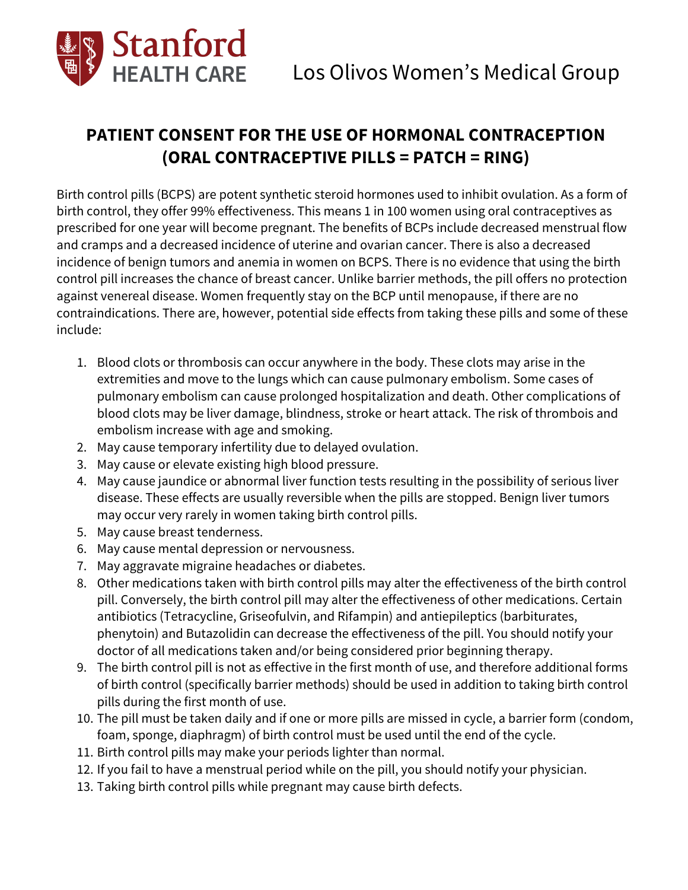

## **PATIENT CONSENT FOR THE USE OF HORMONAL CONTRACEPTION (ORAL CONTRACEPTIVE PILLS = PATCH = RING)**

Birth control pills (BCPS) are potent synthetic steroid hormones used to inhibit ovulation. As a form of birth control, they offer 99% effectiveness. This means 1 in 100 women using oral contraceptives as prescribed for one year will become pregnant. The benefits of BCPs include decreased menstrual flow and cramps and a decreased incidence of uterine and ovarian cancer. There is also a decreased incidence of benign tumors and anemia in women on BCPS. There is no evidence that using the birth control pill increases the chance of breast cancer. Unlike barrier methods, the pill offers no protection against venereal disease. Women frequently stay on the BCP until menopause, if there are no contraindications. There are, however, potential side effects from taking these pills and some of these include:

- 1. Blood clots or thrombosis can occur anywhere in the body. These clots may arise in the extremities and move to the lungs which can cause pulmonary embolism. Some cases of pulmonary embolism can cause prolonged hospitalization and death. Other complications of blood clots may be liver damage, blindness, stroke or heart attack. The risk of thrombois and embolism increase with age and smoking.
- 2. May cause temporary infertility due to delayed ovulation.
- 3. May cause or elevate existing high blood pressure.
- 4. May cause jaundice or abnormal liver function tests resulting in the possibility of serious liver disease. These effects are usually reversible when the pills are stopped. Benign liver tumors may occur very rarely in women taking birth control pills.
- 5. May cause breast tenderness.
- 6. May cause mental depression or nervousness.
- 7. May aggravate migraine headaches or diabetes.
- 8. Other medications taken with birth control pills may alter the effectiveness of the birth control pill. Conversely, the birth control pill may alter the effectiveness of other medications. Certain antibiotics (Tetracycline, Griseofulvin, and Rifampin) and antiepileptics (barbiturates, phenytoin) and Butazolidin can decrease the effectiveness of the pill. You should notify your doctor of all medications taken and/or being considered prior beginning therapy.
- 9. The birth control pill is not as effective in the first month of use, and therefore additional forms of birth control (specifically barrier methods) should be used in addition to taking birth control pills during the first month of use.
- 10. The pill must be taken daily and if one or more pills are missed in cycle, a barrier form (condom, foam, sponge, diaphragm) of birth control must be used until the end of the cycle.
- 11. Birth control pills may make your periods lighter than normal.
- 12. If you fail to have a menstrual period while on the pill, you should notify your physician.
- 13. Taking birth control pills while pregnant may cause birth defects.